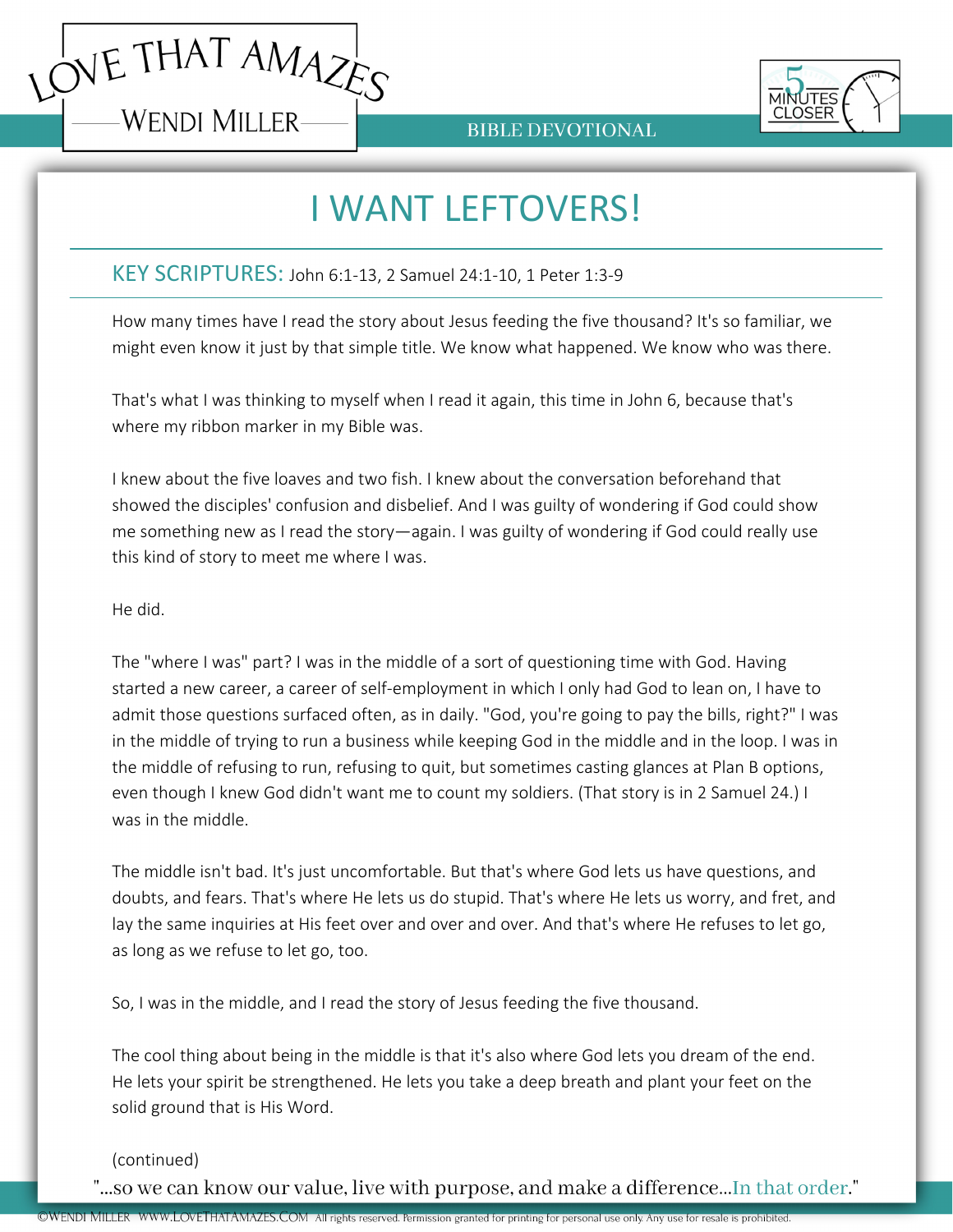



**BIBLE DEVOTIONAL** 

## I WANT LEFTOVERS!

## KEY SCRIPTURES: John 6:1-13, 2 Samuel 24:1-10, 1 Peter 1:3-9

How many times have I read the story about Jesus feeding the five thousand? It's so familiar, we might even know it just by that simple title. We know what happened. We know who was there.

That's what I was thinking to myself when I read it again, this time in John 6, because that's where my ribbon marker in my Bible was.

I knew about the five loaves and two fish. I knew about the conversation beforehand that showed the disciples' confusion and disbelief. And I was guilty of wondering if God could show me something new as I read the story—again. I was guilty of wondering if God could really use this kind of story to meet me where I was.

He did.

The "where I was" part? I was in the middle of a sort of questioning time with God. Having started a new career, a career of self-employment in which I only had God to lean on, I have to admit those questions surfaced often, as in daily. "God, you're going to pay the bills, right?" I was in the middle of trying to run a business while keeping God in the middle and in the loop. I was in the middle of refusing to run, refusing to quit, but sometimes casting glances at Plan B options, even though I knew God didn't want me to count my soldiers. (That story is in 2 Samuel 24.) I was in the middle.

The middle isn't bad. It's just uncomfortable. But that's where God lets us have questions, and doubts, and fears. That's where He lets us do stupid. That's where He lets us worry, and fret, and lay the same inquiries at His feet over and over and over. And that's where He refuses to let go, as long as we refuse to let go, too.

So, I was in the middle, and I read the story of Jesus feeding the five thousand.

The cool thing about being in the middle is that it's also where God lets you dream of the end. He lets your spirit be strengthened. He lets you take a deep breath and plant your feet on the solid ground that is His Word.

(continued)

"...so we can know our value, live with purpose, and make a difference...In that order."